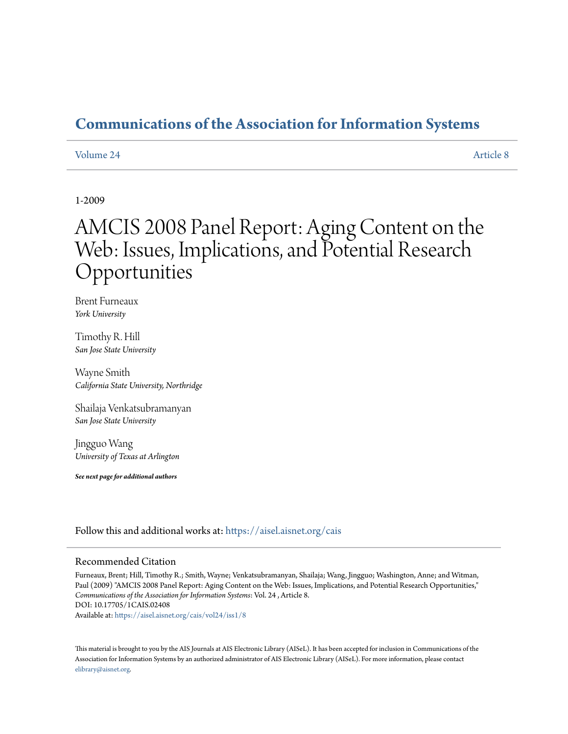### **[Communications of the Association for Information Systems](https://aisel.aisnet.org/cais?utm_source=aisel.aisnet.org%2Fcais%2Fvol24%2Fiss1%2F8&utm_medium=PDF&utm_campaign=PDFCoverPages)**

#### [Volume 24](https://aisel.aisnet.org/cais/vol24?utm_source=aisel.aisnet.org%2Fcais%2Fvol24%2Fiss1%2F8&utm_medium=PDF&utm_campaign=PDFCoverPages) [Article 8](https://aisel.aisnet.org/cais/vol24/iss1/8?utm_source=aisel.aisnet.org%2Fcais%2Fvol24%2Fiss1%2F8&utm_medium=PDF&utm_campaign=PDFCoverPages)

#### 1-2009

# AMCIS 2008 Panel Report: Aging Content on the Web: Issues, Implications, and Potential Research Opportunities

Brent Furneaux *York University*

Timothy R. Hill *San Jose State University*

Wayne Smith *California State University, Northridge*

Shailaja Venkatsubramanyan *San Jose State University*

Jingguo Wang *University of Texas at Arlington*

*See next page for additional authors*

Follow this and additional works at: [https://aisel.aisnet.org/cais](https://aisel.aisnet.org/cais?utm_source=aisel.aisnet.org%2Fcais%2Fvol24%2Fiss1%2F8&utm_medium=PDF&utm_campaign=PDFCoverPages)

#### Recommended Citation

Furneaux, Brent; Hill, Timothy R.; Smith, Wayne; Venkatsubramanyan, Shailaja; Wang, Jingguo; Washington, Anne; and Witman, Paul (2009) "AMCIS 2008 Panel Report: Aging Content on the Web: Issues, Implications, and Potential Research Opportunities," *Communications of the Association for Information Systems*: Vol. 24 , Article 8. DOI: 10.17705/1CAIS.02408

Available at: [https://aisel.aisnet.org/cais/vol24/iss1/8](https://aisel.aisnet.org/cais/vol24/iss1/8?utm_source=aisel.aisnet.org%2Fcais%2Fvol24%2Fiss1%2F8&utm_medium=PDF&utm_campaign=PDFCoverPages)

This material is brought to you by the AIS Journals at AIS Electronic Library (AISeL). It has been accepted for inclusion in Communications of the Association for Information Systems by an authorized administrator of AIS Electronic Library (AISeL). For more information, please contact [elibrary@aisnet.org.](mailto:elibrary@aisnet.org%3E)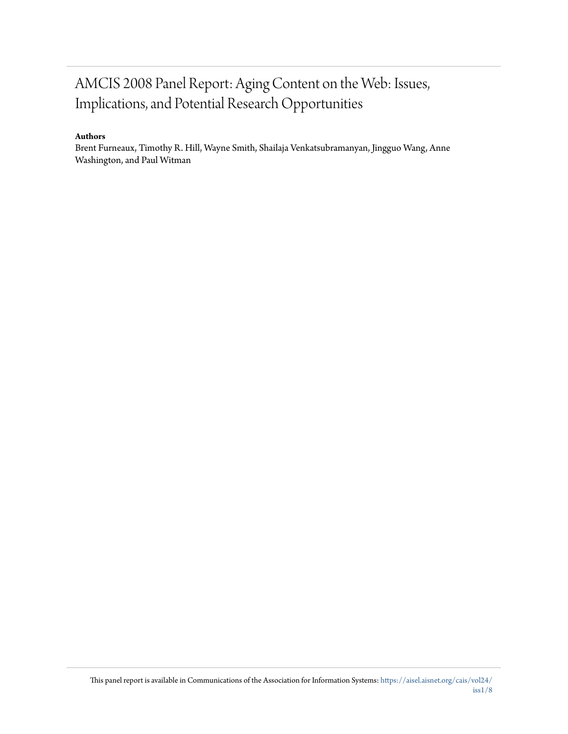## AMCIS 2008 Panel Report: Aging Content on the Web: Issues, Implications, and Potential Research Opportunities

#### **Authors**

Brent Furneaux, Timothy R. Hill, Wayne Smith, Shailaja Venkatsubramanyan, Jingguo Wang, Anne Washington, and Paul Witman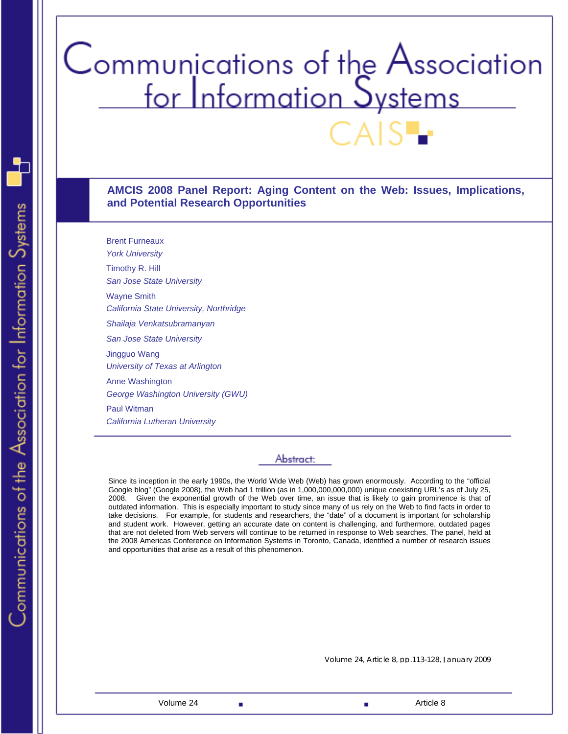# Communications of the Association<br>for Information Systems

**AMCIS 2008 Panel Report: Aging Content on the Web: Issues, Implications, and Potential Research Opportunities** 

Brent Furneaux *York University*  Timothy R. Hill *San Jose State University*  Wayne Smith *California State University, Northridge Shailaja Venkatsubramanyan San Jose State University*  Jingguo Wang *University of Texas at Arlington*  Anne Washington *George Washington University (GWU)*  Paul Witman *California Lutheran University*

#### Abstract:

Since its inception in the early 1990s, the World Wide Web (Web) has grown enormously. According to the "official Google blog" (Google 2008), the Web had 1 trillion (as in 1,000,000,000,000) unique coexisting URL's as of July 25, 2008. Given the exponential growth of the Web over time, an issue that is likely to gain prominence is that of outdated information. This is especially important to study since many of us rely on the Web to find facts in order to take decisions. For example, for students and researchers, the "date" of a document is important for scholarship and student work. However, getting an accurate date on content is challenging, and furthermore, outdated pages that are not deleted from Web servers will continue to be returned in response to Web searches. The panel, held at the 2008 Americas Conference on Information Systems in Toronto, Canada, identified a number of research issues and opportunities that arise as a result of this phenomenon.

Volume 24, Article 8, pp.113-128, January 2009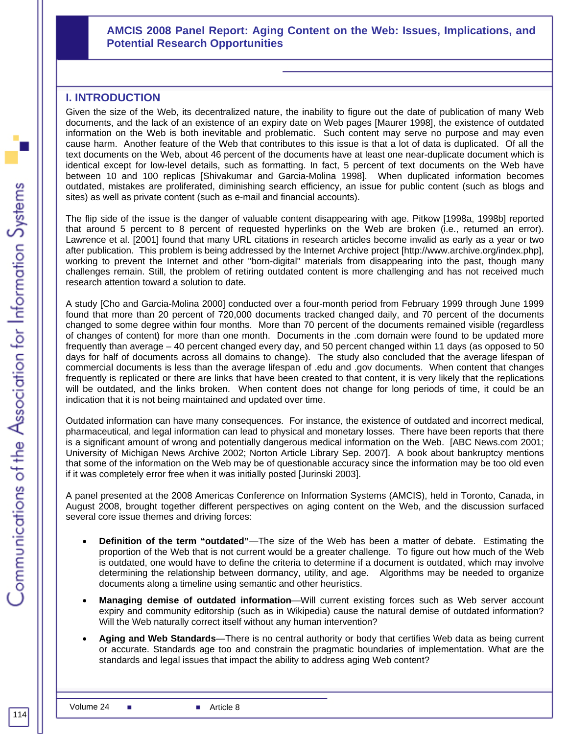#### **AMCIS 2008 Panel Report: Aging Content on the Web: Issues, Implications, and Potential Research Opportunities**

#### **I. INTRODUCTION**

Given the size of the Web, its decentralized nature, the inability to figure out the date of publication of many Web documents, and the lack of an existence of an expiry date on Web pages [Maurer 1998], the existence of outdated information on the Web is both inevitable and problematic. Such content may serve no purpose and may even cause harm. Another feature of the Web that contributes to this issue is that a lot of data is duplicated. Of all the text documents on the Web, about 46 percent of the documents have at least one near-duplicate document which is identical except for low-level details, such as formatting. In fact, 5 percent of text documents on the Web have between 10 and 100 replicas [Shivakumar and Garcia-Molina 1998]. When duplicated information becomes outdated, mistakes are proliferated, diminishing search efficiency, an issue for public content (such as blogs and sites) as well as private content (such as e-mail and financial accounts).

The flip side of the issue is the danger of valuable content disappearing with age. Pitkow [1998a, 1998b] reported that around 5 percent to 8 percent of requested hyperlinks on the Web are broken (i.e., returned an error). Lawrence et al. [2001] found that many URL citations in research articles become invalid as early as a year or two after publication. This problem is being addressed by the Internet Archive project [http://www.archive.org/index.php], working to prevent the Internet and other "born-digital" materials from disappearing into the past, though many challenges remain. Still, the problem of retiring outdated content is more challenging and has not received much research attention toward a solution to date.

A study [Cho and Garcia-Molina 2000] conducted over a four-month period from February 1999 through June 1999 found that more than 20 percent of 720,000 documents tracked changed daily, and 70 percent of the documents changed to some degree within four months. More than 70 percent of the documents remained visible (regardless of changes of content) for more than one month. Documents in the .com domain were found to be updated more frequently than average – 40 percent changed every day, and 50 percent changed within 11 days (as opposed to 50 days for half of documents across all domains to change). The study also concluded that the average lifespan of commercial documents is less than the average lifespan of .edu and .gov documents. When content that changes frequently is replicated or there are links that have been created to that content, it is very likely that the replications will be outdated, and the links broken. When content does not change for long periods of time, it could be an indication that it is not being maintained and updated over time.

Outdated information can have many consequences. For instance, the existence of outdated and incorrect medical, pharmaceutical, and legal information can lead to physical and monetary losses. There have been reports that there is a significant amount of wrong and potentially dangerous medical information on the Web. [ABC News.com 2001; University of Michigan News Archive 2002; Norton Article Library Sep. 2007]. A book about bankruptcy mentions that some of the information on the Web may be of questionable accuracy since the information may be too old even if it was completely error free when it was initially posted [Jurinski 2003].

A panel presented at the 2008 Americas Conference on Information Systems (AMCIS), held in Toronto, Canada, in August 2008, brought together different perspectives on aging content on the Web, and the discussion surfaced several core issue themes and driving forces:

- **Definition of the term "outdated"**—The size of the Web has been a matter of debate. Estimating the proportion of the Web that is not current would be a greater challenge. To figure out how much of the Web is outdated, one would have to define the criteria to determine if a document is outdated, which may involve determining the relationship between dormancy, utility, and age. Algorithms may be needed to organize documents along a timeline using semantic and other heuristics.
- **Managing demise of outdated information**—Will current existing forces such as Web server account expiry and community editorship (such as in Wikipedia) cause the natural demise of outdated information? Will the Web naturally correct itself without any human intervention?
- **Aging and Web Standards**—There is no central authority or body that certifies Web data as being current or accurate. Standards age too and constrain the pragmatic boundaries of implementation. What are the standards and legal issues that impact the ability to address aging Web content?

114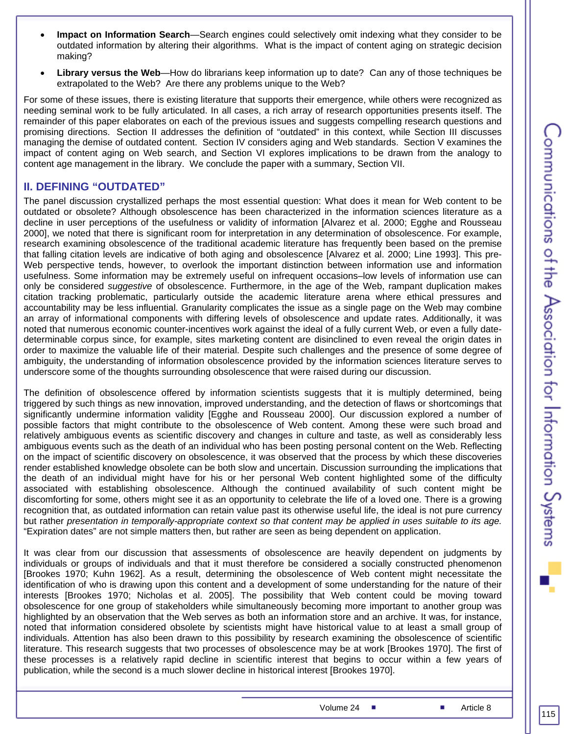- **Impact on Information Search**—Search engines could selectively omit indexing what they consider to be outdated information by altering their algorithms. What is the impact of content aging on strategic decision making?
- **Library versus the Web**—How do librarians keep information up to date? Can any of those techniques be extrapolated to the Web? Are there any problems unique to the Web?

For some of these issues, there is existing literature that supports their emergence, while others were recognized as needing seminal work to be fully articulated. In all cases, a rich array of research opportunities presents itself. The remainder of this paper elaborates on each of the previous issues and suggests compelling research questions and promising directions. Section II addresses the definition of "outdated" in this context, while Section III discusses managing the demise of outdated content. Section IV considers aging and Web standards. Section V examines the impact of content aging on Web search, and Section VI explores implications to be drawn from the analogy to content age management in the library. We conclude the paper with a summary, Section VII.

#### **II. DEFINING "OUTDATED"**

The panel discussion crystallized perhaps the most essential question: What does it mean for Web content to be outdated or obsolete? Although obsolescence has been characterized in the information sciences literature as a decline in user perceptions of the usefulness or validity of information [Alvarez et al. 2000; Egghe and Rousseau 2000], we noted that there is significant room for interpretation in any determination of obsolescence. For example, research examining obsolescence of the traditional academic literature has frequently been based on the premise that falling citation levels are indicative of both aging and obsolescence [Alvarez et al. 2000; Line 1993]. This pre-Web perspective tends, however, to overlook the important distinction between information use and information usefulness. Some information may be extremely useful on infrequent occasions–low levels of information use can only be considered *suggestive* of obsolescence. Furthermore, in the age of the Web, rampant duplication makes citation tracking problematic, particularly outside the academic literature arena where ethical pressures and accountability may be less influential. Granularity complicates the issue as a single page on the Web may combine an array of informational components with differing levels of obsolescence and update rates. Additionally, it was noted that numerous economic counter-incentives work against the ideal of a fully current Web, or even a fully datedeterminable corpus since, for example, sites marketing content are disinclined to even reveal the origin dates in order to maximize the valuable life of their material. Despite such challenges and the presence of some degree of ambiguity, the understanding of information obsolescence provided by the information sciences literature serves to underscore some of the thoughts surrounding obsolescence that were raised during our discussion.

The definition of obsolescence offered by information scientists suggests that it is multiply determined, being triggered by such things as new innovation, improved understanding, and the detection of flaws or shortcomings that significantly undermine information validity [Egghe and Rousseau 2000]. Our discussion explored a number of possible factors that might contribute to the obsolescence of Web content. Among these were such broad and relatively ambiguous events as scientific discovery and changes in culture and taste, as well as considerably less ambiguous events such as the death of an individual who has been posting personal content on the Web. Reflecting on the impact of scientific discovery on obsolescence, it was observed that the process by which these discoveries render established knowledge obsolete can be both slow and uncertain. Discussion surrounding the implications that the death of an individual might have for his or her personal Web content highlighted some of the difficulty associated with establishing obsolescence. Although the continued availability of such content might be discomforting for some, others might see it as an opportunity to celebrate the life of a loved one. There is a growing recognition that, as outdated information can retain value past its otherwise useful life, the ideal is not pure currency but rather *presentation in temporally-appropriate context so that content may be applied in uses suitable to its age.*  "Expiration dates" are not simple matters then, but rather are seen as being dependent on application.

It was clear from our discussion that assessments of obsolescence are heavily dependent on judgments by individuals or groups of individuals and that it must therefore be considered a socially constructed phenomenon [Brookes 1970; Kuhn 1962]. As a result, determining the obsolescence of Web content might necessitate the identification of who is drawing upon this content and a development of some understanding for the nature of their interests [Brookes 1970; Nicholas et al. 2005]. The possibility that Web content could be moving toward obsolescence for one group of stakeholders while simultaneously becoming more important to another group was highlighted by an observation that the Web serves as both an information store and an archive. It was, for instance, noted that information considered obsolete by scientists might have historical value to at least a small group of individuals. Attention has also been drawn to this possibility by research examining the obsolescence of scientific literature. This research suggests that two processes of obsolescence may be at work [Brookes 1970]. The first of these processes is a relatively rapid decline in scientific interest that begins to occur within a few years of publication, while the second is a much slower decline in historical interest [Brookes 1970].

Volume 24 ■ Article 8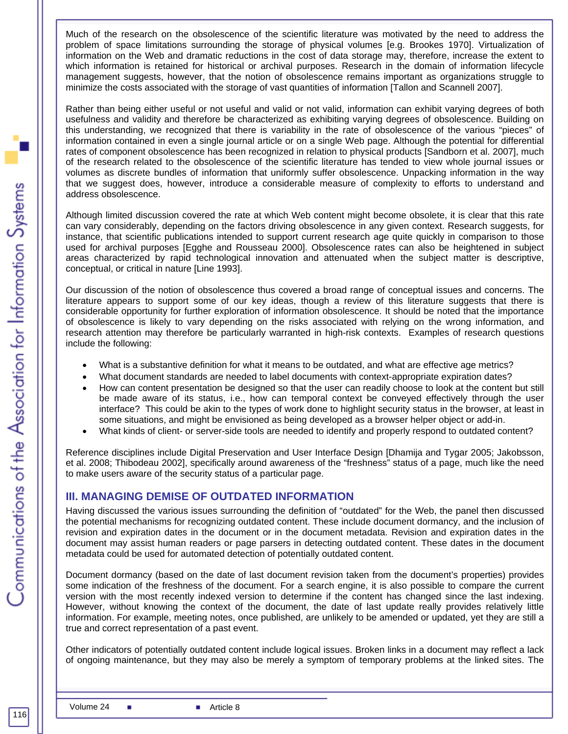Much of the research on the obsolescence of the scientific literature was motivated by the need to address the problem of space limitations surrounding the storage of physical volumes [e.g. Brookes 1970]. Virtualization of information on the Web and dramatic reductions in the cost of data storage may, therefore, increase the extent to which information is retained for historical or archival purposes. Research in the domain of information lifecycle management suggests, however, that the notion of obsolescence remains important as organizations struggle to minimize the costs associated with the storage of vast quantities of information [Tallon and Scannell 2007].

Rather than being either useful or not useful and valid or not valid, information can exhibit varying degrees of both usefulness and validity and therefore be characterized as exhibiting varying degrees of obsolescence. Building on this understanding, we recognized that there is variability in the rate of obsolescence of the various "pieces" of information contained in even a single journal article or on a single Web page. Although the potential for differential rates of component obsolescence has been recognized in relation to physical products [Sandborn et al. 2007], much of the research related to the obsolescence of the scientific literature has tended to view whole journal issues or volumes as discrete bundles of information that uniformly suffer obsolescence. Unpacking information in the way that we suggest does, however, introduce a considerable measure of complexity to efforts to understand and address obsolescence.

Although limited discussion covered the rate at which Web content might become obsolete, it is clear that this rate can vary considerably, depending on the factors driving obsolescence in any given context. Research suggests, for instance, that scientific publications intended to support current research age quite quickly in comparison to those used for archival purposes [Egghe and Rousseau 2000]. Obsolescence rates can also be heightened in subject areas characterized by rapid technological innovation and attenuated when the subject matter is descriptive, conceptual, or critical in nature [Line 1993].

Our discussion of the notion of obsolescence thus covered a broad range of conceptual issues and concerns. The literature appears to support some of our key ideas, though a review of this literature suggests that there is considerable opportunity for further exploration of information obsolescence. It should be noted that the importance of obsolescence is likely to vary depending on the risks associated with relying on the wrong information, and research attention may therefore be particularly warranted in high-risk contexts. Examples of research questions include the following:

- What is a substantive definition for what it means to be outdated, and what are effective age metrics?
- What document standards are needed to label documents with context-appropriate expiration dates?
- How can content presentation be designed so that the user can readily choose to look at the content but still be made aware of its status, i.e., how can temporal context be conveyed effectively through the user interface? This could be akin to the types of work done to highlight security status in the browser, at least in some situations, and might be envisioned as being developed as a browser helper object or add-in.
- What kinds of client- or server-side tools are needed to identify and properly respond to outdated content?

Reference disciplines include Digital Preservation and User Interface Design [Dhamija and Tygar 2005; Jakobsson, et al. 2008; Thibodeau 2002], specifically around awareness of the "freshness" status of a page, much like the need to make users aware of the security status of a particular page.

#### **III. MANAGING DEMISE OF OUTDATED INFORMATION**

Having discussed the various issues surrounding the definition of "outdated" for the Web, the panel then discussed the potential mechanisms for recognizing outdated content. These include document dormancy, and the inclusion of revision and expiration dates in the document or in the document metadata. Revision and expiration dates in the document may assist human readers or page parsers in detecting outdated content. These dates in the document metadata could be used for automated detection of potentially outdated content.

Document dormancy (based on the date of last document revision taken from the document's properties) provides some indication of the freshness of the document. For a search engine, it is also possible to compare the current version with the most recently indexed version to determine if the content has changed since the last indexing. However, without knowing the context of the document, the date of last update really provides relatively little information. For example, meeting notes, once published, are unlikely to be amended or updated, yet they are still a true and correct representation of a past event.

Other indicators of potentially outdated content include logical issues. Broken links in a document may reflect a lack of ongoing maintenance, but they may also be merely a symptom of temporary problems at the linked sites. The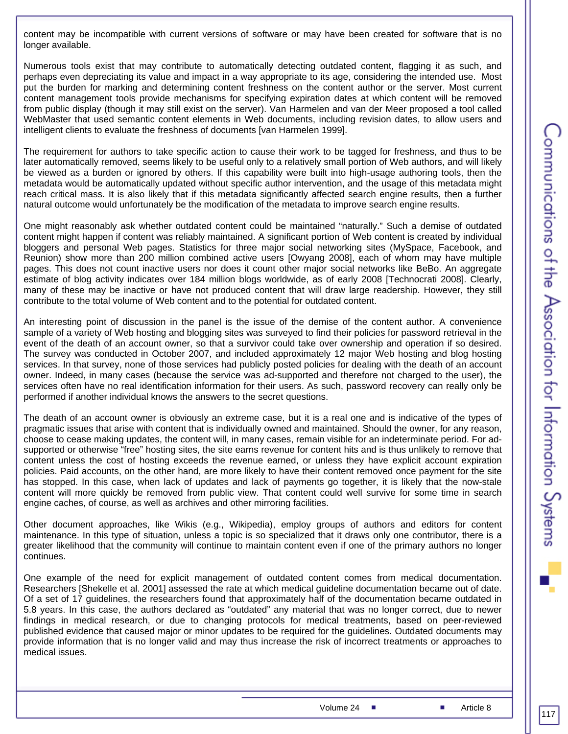content may be incompatible with current versions of software or may have been created for software that is no longer available.

Numerous tools exist that may contribute to automatically detecting outdated content, flagging it as such, and perhaps even depreciating its value and impact in a way appropriate to its age, considering the intended use. Most put the burden for marking and determining content freshness on the content author or the server. Most current content management tools provide mechanisms for specifying expiration dates at which content will be removed from public display (though it may still exist on the server). Van Harmelen and van der Meer proposed a tool called WebMaster that used semantic content elements in Web documents, including revision dates, to allow users and intelligent clients to evaluate the freshness of documents [van Harmelen 1999].

The requirement for authors to take specific action to cause their work to be tagged for freshness, and thus to be later automatically removed, seems likely to be useful only to a relatively small portion of Web authors, and will likely be viewed as a burden or ignored by others. If this capability were built into high-usage authoring tools, then the metadata would be automatically updated without specific author intervention, and the usage of this metadata might reach critical mass. It is also likely that if this metadata significantly affected search engine results, then a further natural outcome would unfortunately be the modification of the metadata to improve search engine results.

One might reasonably ask whether outdated content could be maintained "naturally." Such a demise of outdated content might happen if content was reliably maintained. A significant portion of Web content is created by individual bloggers and personal Web pages. Statistics for three major social networking sites (MySpace, Facebook, and Reunion) show more than 200 million combined active users [Owyang 2008], each of whom may have multiple pages. This does not count inactive users nor does it count other major social networks like BeBo. An aggregate estimate of blog activity indicates over 184 million blogs worldwide, as of early 2008 [Technocrati 2008]. Clearly, many of these may be inactive or have not produced content that will draw large readership. However, they still contribute to the total volume of Web content and to the potential for outdated content.

An interesting point of discussion in the panel is the issue of the demise of the content author. A convenience sample of a variety of Web hosting and blogging sites was surveyed to find their policies for password retrieval in the event of the death of an account owner, so that a survivor could take over ownership and operation if so desired. The survey was conducted in October 2007, and included approximately 12 major Web hosting and blog hosting services. In that survey, none of those services had publicly posted policies for dealing with the death of an account owner. Indeed, in many cases (because the service was ad-supported and therefore not charged to the user), the services often have no real identification information for their users. As such, password recovery can really only be performed if another individual knows the answers to the secret questions.

The death of an account owner is obviously an extreme case, but it is a real one and is indicative of the types of pragmatic issues that arise with content that is individually owned and maintained. Should the owner, for any reason, choose to cease making updates, the content will, in many cases, remain visible for an indeterminate period. For adsupported or otherwise "free" hosting sites, the site earns revenue for content hits and is thus unlikely to remove that content unless the cost of hosting exceeds the revenue earned, or unless they have explicit account expiration policies. Paid accounts, on the other hand, are more likely to have their content removed once payment for the site has stopped. In this case, when lack of updates and lack of payments go together, it is likely that the now-stale content will more quickly be removed from public view. That content could well survive for some time in search engine caches, of course, as well as archives and other mirroring facilities.

Other document approaches, like Wikis (e.g., Wikipedia), employ groups of authors and editors for content maintenance. In this type of situation, unless a topic is so specialized that it draws only one contributor, there is a greater likelihood that the community will continue to maintain content even if one of the primary authors no longer continues.

One example of the need for explicit management of outdated content comes from medical documentation. Researchers [Shekelle et al. 2001] assessed the rate at which medical guideline documentation became out of date. Of a set of 17 guidelines, the researchers found that approximately half of the documentation became outdated in 5.8 years. In this case, the authors declared as "outdated" any material that was no longer correct, due to newer findings in medical research, or due to changing protocols for medical treatments, based on peer-reviewed published evidence that caused major or minor updates to be required for the guidelines. Outdated documents may provide information that is no longer valid and may thus increase the risk of incorrect treatments or approaches to medical issues.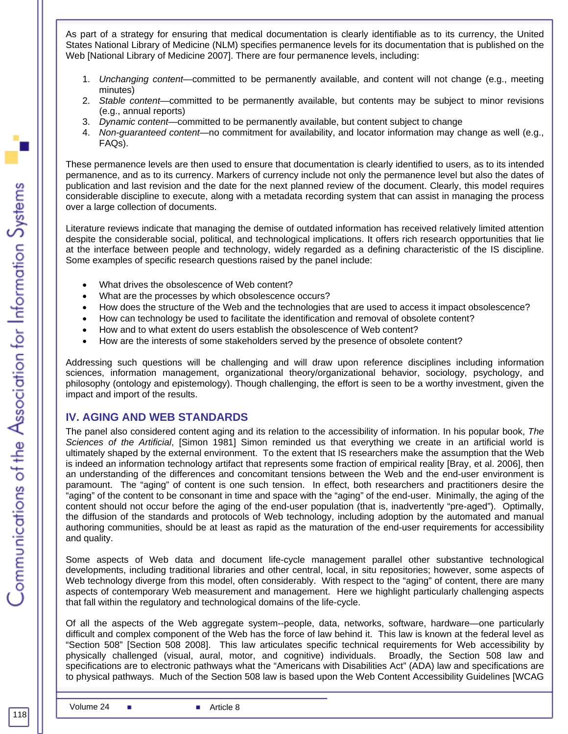As part of a strategy for ensuring that medical documentation is clearly identifiable as to its currency, the United States National Library of Medicine (NLM) specifies permanence levels for its documentation that is published on the Web [National Library of Medicine 2007]. There are four permanence levels, including:

- 1. *Unchanging content*—committed to be permanently available, and content will not change (e.g., meeting minutes)
- 2. *Stable content*—committed to be permanently available, but contents may be subject to minor revisions (e.g., annual reports)
- 3. *Dynamic content*—committed to be permanently available, but content subject to change
- 4. *Non-guaranteed content*—no commitment for availability, and locator information may change as well (e.g., FAQs).

These permanence levels are then used to ensure that documentation is clearly identified to users, as to its intended permanence, and as to its currency. Markers of currency include not only the permanence level but also the dates of publication and last revision and the date for the next planned review of the document. Clearly, this model requires considerable discipline to execute, along with a metadata recording system that can assist in managing the process over a large collection of documents.

Literature reviews indicate that managing the demise of outdated information has received relatively limited attention despite the considerable social, political, and technological implications. It offers rich research opportunities that lie at the interface between people and technology, widely regarded as a defining characteristic of the IS discipline. Some examples of specific research questions raised by the panel include:

- What drives the obsolescence of Web content?
- What are the processes by which obsolescence occurs?
- How does the structure of the Web and the technologies that are used to access it impact obsolescence?
- How can technology be used to facilitate the identification and removal of obsolete content?
- How and to what extent do users establish the obsolescence of Web content?
- How are the interests of some stakeholders served by the presence of obsolete content?

Addressing such questions will be challenging and will draw upon reference disciplines including information sciences, information management, organizational theory/organizational behavior, sociology, psychology, and philosophy (ontology and epistemology). Though challenging, the effort is seen to be a worthy investment, given the impact and import of the results.

#### **IV. AGING AND WEB STANDARDS**

The panel also considered content aging and its relation to the accessibility of information. In his popular book, *The Sciences of the Artificial*, [Simon 1981] Simon reminded us that everything we create in an artificial world is ultimately shaped by the external environment. To the extent that IS researchers make the assumption that the Web is indeed an information technology artifact that represents some fraction of empirical reality [Bray, et al. 2006], then an understanding of the differences and concomitant tensions between the Web and the end-user environment is paramount. The "aging" of content is one such tension. In effect, both researchers and practitioners desire the "aging" of the content to be consonant in time and space with the "aging" of the end-user. Minimally, the aging of the content should not occur before the aging of the end-user population (that is, inadvertently "pre-aged"). Optimally, the diffusion of the standards and protocols of Web technology, including adoption by the automated and manual authoring communities, should be at least as rapid as the maturation of the end-user requirements for accessibility and quality.

Some aspects of Web data and document life-cycle management parallel other substantive technological developments, including traditional libraries and other central, local, in situ repositories; however, some aspects of Web technology diverge from this model, often considerably. With respect to the "aging" of content, there are many aspects of contemporary Web measurement and management. Here we highlight particularly challenging aspects that fall within the regulatory and technological domains of the life-cycle.

Of all the aspects of the Web aggregate system--people, data, networks, software, hardware—one particularly difficult and complex component of the Web has the force of law behind it. This law is known at the federal level as "Section 508" [Section 508 2008]. This law articulates specific technical requirements for Web accessibility by physically challenged (visual, aural, motor, and cognitive) individuals. Broadly, the Section 508 law and specifications are to electronic pathways what the "Americans with Disabilities Act" (ADA) law and specifications are to physical pathways. Much of the Section 508 law is based upon the Web Content Accessibility Guidelines [WCAG

118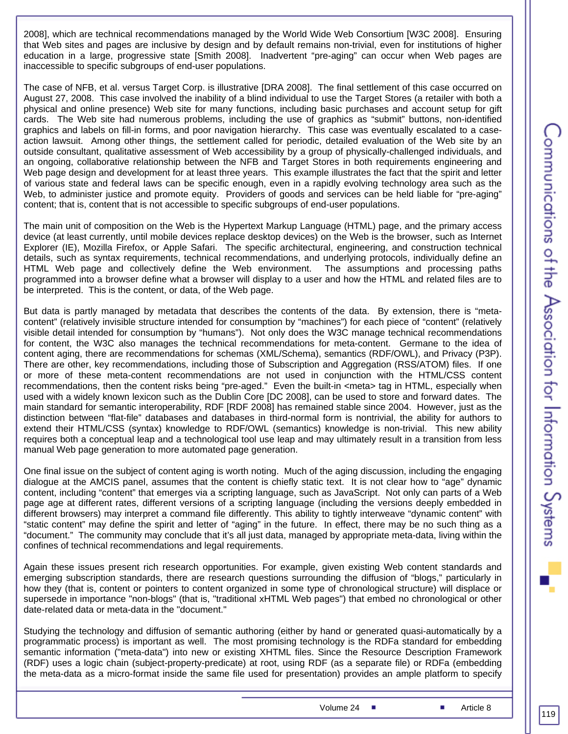2008], which are technical recommendations managed by the World Wide Web Consortium [W3C 2008]. Ensuring that Web sites and pages are inclusive by design and by default remains non-trivial, even for institutions of higher education in a large, progressive state [Smith 2008]. Inadvertent "pre-aging" can occur when Web pages are inaccessible to specific subgroups of end-user populations.

The case of NFB, et al. versus Target Corp. is illustrative [DRA 2008]. The final settlement of this case occurred on August 27, 2008. This case involved the inability of a blind individual to use the Target Stores (a retailer with both a physical and online presence) Web site for many functions, including basic purchases and account setup for gift cards. The Web site had numerous problems, including the use of graphics as "submit" buttons, non-identified graphics and labels on fill-in forms, and poor navigation hierarchy. This case was eventually escalated to a caseaction lawsuit. Among other things, the settlement called for periodic, detailed evaluation of the Web site by an outside consultant, qualitative assessment of Web accessibility by a group of physically-challenged individuals, and an ongoing, collaborative relationship between the NFB and Target Stores in both requirements engineering and Web page design and development for at least three years. This example illustrates the fact that the spirit and letter of various state and federal laws can be specific enough, even in a rapidly evolving technology area such as the Web, to administer justice and promote equity. Providers of goods and services can be held liable for "pre-aging" content; that is, content that is not accessible to specific subgroups of end-user populations.

The main unit of composition on the Web is the Hypertext Markup Language (HTML) page, and the primary access device (at least currently, until mobile devices replace desktop devices) on the Web is the browser, such as Internet Explorer (IE), Mozilla Firefox, or Apple Safari. The specific architectural, engineering, and construction technical details, such as syntax requirements, technical recommendations, and underlying protocols, individually define an HTML Web page and collectively define the Web environment. The assumptions and processing paths programmed into a browser define what a browser will display to a user and how the HTML and related files are to be interpreted. This is the content, or data, of the Web page.

But data is partly managed by metadata that describes the contents of the data. By extension, there is "metacontent" (relatively invisible structure intended for consumption by "machines") for each piece of "content" (relatively visible detail intended for consumption by "humans"). Not only does the W3C manage technical recommendations for content, the W3C also manages the technical recommendations for meta-content. Germane to the idea of content aging, there are recommendations for schemas (XML/Schema), semantics (RDF/OWL), and Privacy (P3P). There are other, key recommendations, including those of Subscription and Aggregation (RSS/ATOM) files. If one or more of these meta-content recommendations are not used in conjunction with the HTML/CSS content recommendations, then the content risks being "pre-aged." Even the built-in <meta> tag in HTML, especially when used with a widely known lexicon such as the Dublin Core [DC 2008], can be used to store and forward dates. The main standard for semantic interoperability, RDF [RDF 2008] has remained stable since 2004. However, just as the distinction between "flat-file" databases and databases in third-normal form is nontrivial, the ability for authors to extend their HTML/CSS (syntax) knowledge to RDF/OWL (semantics) knowledge is non-trivial. This new ability requires both a conceptual leap and a technological tool use leap and may ultimately result in a transition from less manual Web page generation to more automated page generation.

One final issue on the subject of content aging is worth noting. Much of the aging discussion, including the engaging dialogue at the AMCIS panel, assumes that the content is chiefly static text. It is not clear how to "age" dynamic content, including "content" that emerges via a scripting language, such as JavaScript. Not only can parts of a Web page age at different rates, different versions of a scripting language (including the versions deeply embedded in different browsers) may interpret a command file differently. This ability to tightly interweave "dynamic content" with "static content" may define the spirit and letter of "aging" in the future. In effect, there may be no such thing as a "document." The community may conclude that it's all just data, managed by appropriate meta-data, living within the confines of technical recommendations and legal requirements.

Again these issues present rich research opportunities. For example, given existing Web content standards and emerging subscription standards, there are research questions surrounding the diffusion of "blogs," particularly in how they (that is, content or pointers to content organized in some type of chronological structure) will displace or supersede in importance "non-blogs" (that is, "traditional xHTML Web pages") that embed no chronological or other date-related data or meta-data in the "document."

Studying the technology and diffusion of semantic authoring (either by hand or generated quasi-automatically by a programmatic process) is important as well. The most promising technology is the RDFa standard for embedding semantic information ("meta-data") into new or existing XHTML files. Since the Resource Description Framework (RDF) uses a logic chain (subject-property-predicate) at root, using RDF (as a separate file) or RDFa (embedding the meta-data as a micro-format inside the same file used for presentation) provides an ample platform to specify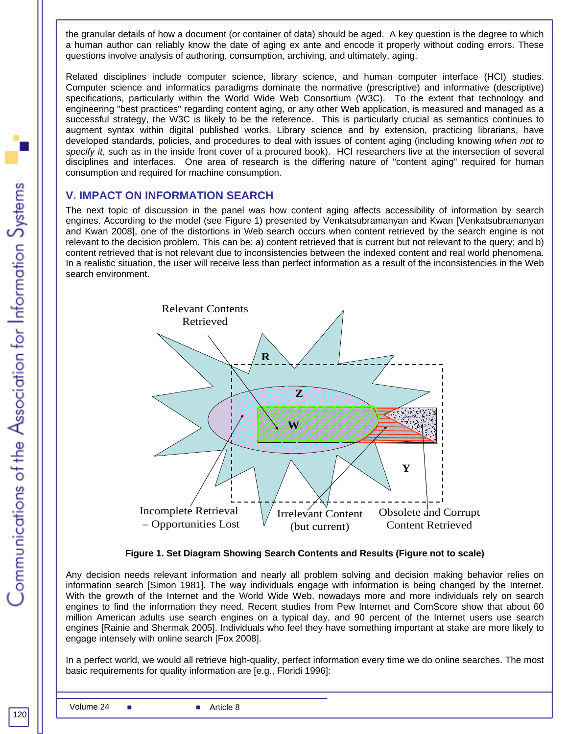the granular details of how a document (or container of data) should be aged. A key question is the degree to which a human author can reliably know the date of aging ex ante and encode it properly without coding errors. These questions involve analysis of authoring, consumption, archiving, and ultimately, aging.

Related disciplines include computer science, library science, and human computer interface (HCI) studies. Computer science and informatics paradigms dominate the normative (prescriptive) and informative (descriptive) specifications, particularly within the World Wide Web Consortium (W3C). To the extent that technology and engineering "best practices" regarding content aging, or any other Web application, is measured and managed as a successful strategy, the W3C is likely to be the reference. This is particularly crucial as semantics continues to augment syntax within digital published works. Library science and by extension, practicing librarians, have developed standards, policies, and procedures to deal with issues of content aging (including knowing *when not to specify it*, such as in the inside front cover of a procured book). HCI researchers live at the intersection of several disciplines and interfaces. One area of research is the differing nature of "content aging" required for human consumption and required for machine consumption.

#### **V. IMPACT ON INFORMATION SEARCH**

The next topic of discussion in the panel was how content aging affects accessibility of information by search engines. According to the model (see Figure 1) presented by Venkatsubramanyan and Kwan [Venkatsubramanyan and Kwan 2008], one of the distortions in Web search occurs when content retrieved by the search engine is not relevant to the decision problem. This can be: a) content retrieved that is current but not relevant to the query; and b) content retrieved that is not relevant due to inconsistencies between the indexed content and real world phenomena. In a realistic situation, the user will receive less than perfect information as a result of the inconsistencies in the Web search environment.



**Figure 1. Set Diagram Showing Search Contents and Results (Figure not to scale)** 

Any decision needs relevant information and nearly all problem solving and decision making behavior relies on information search [Simon 1981]. The way individuals engage with information is being changed by the Internet. With the growth of the Internet and the World Wide Web, nowadays more and more individuals rely on search engines to find the information they need. Recent studies from Pew Internet and ComScore show that about 60 million American adults use search engines on a typical day, and 90 percent of the Internet users use search engines [Rainie and Shermak 2005]. Individuals who feel they have something important at stake are more likely to engage intensely with online search [Fox 2008].

In a perfect world, we would all retrieve high-quality, perfect information every time we do online searches. The most basic requirements for quality information are [e.g., Floridi 1996]: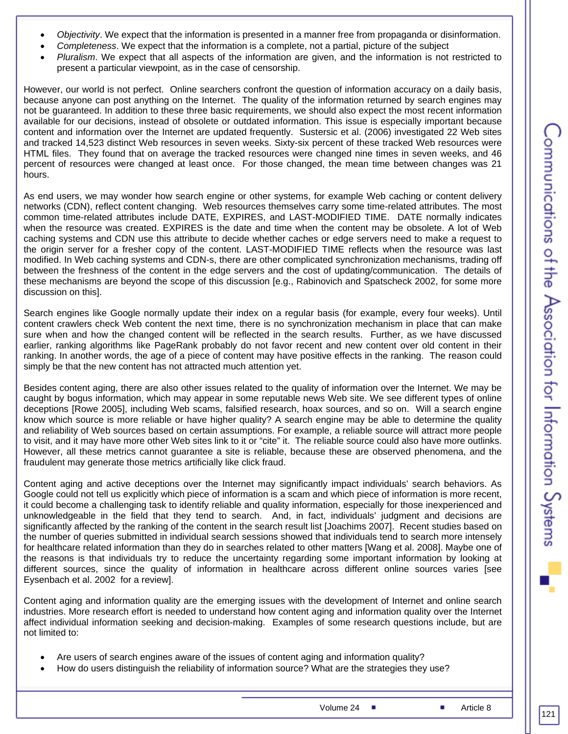- *Objectivity*. We expect that the information is presented in a manner free from propaganda or disinformation.
- *Completeness*. We expect that the information is a complete, not a partial, picture of the subject
- *Pluralism*. We expect that all aspects of the information are given, and the information is not restricted to present a particular viewpoint, as in the case of censorship.

However, our world is not perfect. Online searchers confront the question of information accuracy on a daily basis, because anyone can post anything on the Internet. The quality of the information returned by search engines may not be guaranteed. In addition to these three basic requirements, we should also expect the most recent information available for our decisions, instead of obsolete or outdated information. This issue is especially important because content and information over the Internet are updated frequently. Sustersic et al. (2006) investigated 22 Web sites and tracked 14,523 distinct Web resources in seven weeks. Sixty-six percent of these tracked Web resources were HTML files. They found that on average the tracked resources were changed nine times in seven weeks, and 46 percent of resources were changed at least once. For those changed, the mean time between changes was 21 hours.

As end users, we may wonder how search engine or other systems, for example Web caching or content delivery networks (CDN), reflect content changing. Web resources themselves carry some time-related attributes. The most common time-related attributes include DATE, EXPIRES, and LAST-MODIFIED TIME. DATE normally indicates when the resource was created. EXPIRES is the date and time when the content may be obsolete. A lot of Web caching systems and CDN use this attribute to decide whether caches or edge servers need to make a request to the origin server for a fresher copy of the content. LAST-MODIFIED TIME reflects when the resource was last modified. In Web caching systems and CDN-s, there are other complicated synchronization mechanisms, trading off between the freshness of the content in the edge servers and the cost of updating/communication. The details of these mechanisms are beyond the scope of this discussion [e.g., Rabinovich and Spatscheck 2002, for some more discussion on this].

Search engines like Google normally update their index on a regular basis (for example, every four weeks). Until content crawlers check Web content the next time, there is no synchronization mechanism in place that can make sure when and how the changed content will be reflected in the search results. Further, as we have discussed earlier, ranking algorithms like PageRank probably do not favor recent and new content over old content in their ranking. In another words, the age of a piece of content may have positive effects in the ranking. The reason could simply be that the new content has not attracted much attention yet.

Besides content aging, there are also other issues related to the quality of information over the Internet. We may be caught by bogus information, which may appear in some reputable news Web site. We see different types of online deceptions [Rowe 2005], including Web scams, falsified research, hoax sources, and so on. Will a search engine know which source is more reliable or have higher quality? A search engine may be able to determine the quality and reliability of Web sources based on certain assumptions. For example, a reliable source will attract more people to visit, and it may have more other Web sites link to it or "cite" it. The reliable source could also have more outlinks. However, all these metrics cannot guarantee a site is reliable, because these are observed phenomena, and the fraudulent may generate those metrics artificially like click fraud.

Content aging and active deceptions over the Internet may significantly impact individuals' search behaviors. As Google could not tell us explicitly which piece of information is a scam and which piece of information is more recent, it could become a challenging task to identify reliable and quality information, especially for those inexperienced and unknowledgeable in the field that they tend to search. And, in fact, individuals' judgment and decisions are significantly affected by the ranking of the content in the search result list [Joachims 2007]. Recent studies based on the number of queries submitted in individual search sessions showed that individuals tend to search more intensely for healthcare related information than they do in searches related to other matters [Wang et al. 2008]. Maybe one of the reasons is that individuals try to reduce the uncertainty regarding some important information by looking at different sources, since the quality of information in healthcare across different online sources varies [see Eysenbach et al. 2002 for a review].

Content aging and information quality are the emerging issues with the development of Internet and online search industries. More research effort is needed to understand how content aging and information quality over the Internet affect individual information seeking and decision-making. Examples of some research questions include, but are not limited to:

- Are users of search engines aware of the issues of content aging and information quality?
- How do users distinguish the reliability of information source? What are the strategies they use?

Volume 24 ■ Article 8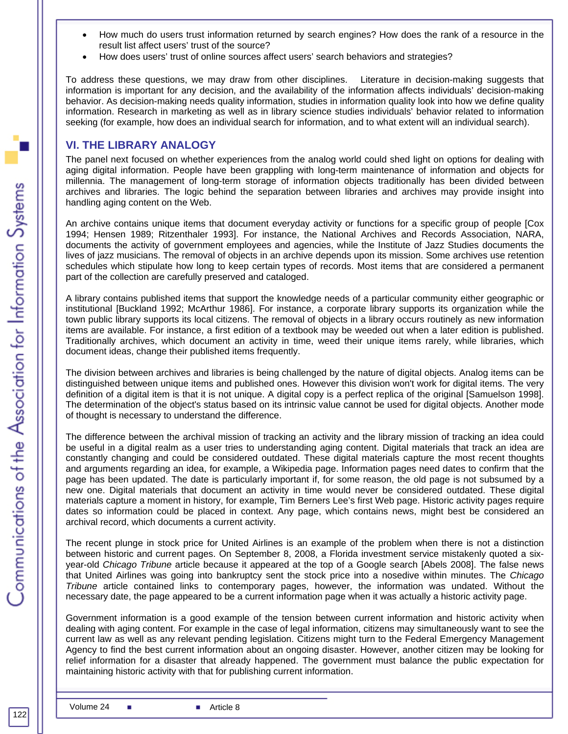- How much do users trust information returned by search engines? How does the rank of a resource in the result list affect users' trust of the source?
- How does users' trust of online sources affect users' search behaviors and strategies?

To address these questions, we may draw from other disciplines. Literature in decision-making suggests that information is important for any decision, and the availability of the information affects individuals' decision-making behavior. As decision-making needs quality information, studies in information quality look into how we define quality information. Research in marketing as well as in library science studies individuals' behavior related to information seeking (for example, how does an individual search for information, and to what extent will an individual search).

#### **VI. THE LIBRARY ANALOGY**

The panel next focused on whether experiences from the analog world could shed light on options for dealing with aging digital information. People have been grappling with long-term maintenance of information and objects for millennia. The management of long-term storage of information objects traditionally has been divided between archives and libraries. The logic behind the separation between libraries and archives may provide insight into handling aging content on the Web.

An archive contains unique items that document everyday activity or functions for a specific group of people [Cox 1994; Hensen 1989; Ritzenthaler 1993]. For instance, the National Archives and Records Association, NARA, documents the activity of government employees and agencies, while the Institute of Jazz Studies documents the lives of jazz musicians. The removal of objects in an archive depends upon its mission. Some archives use retention schedules which stipulate how long to keep certain types of records. Most items that are considered a permanent part of the collection are carefully preserved and cataloged.

A library contains published items that support the knowledge needs of a particular community either geographic or institutional [Buckland 1992; McArthur 1986]. For instance, a corporate library supports its organization while the town public library supports its local citizens. The removal of objects in a library occurs routinely as new information items are available. For instance, a first edition of a textbook may be weeded out when a later edition is published. Traditionally archives, which document an activity in time, weed their unique items rarely, while libraries, which document ideas, change their published items frequently.

The division between archives and libraries is being challenged by the nature of digital objects. Analog items can be distinguished between unique items and published ones. However this division won't work for digital items. The very definition of a digital item is that it is not unique. A digital copy is a perfect replica of the original [Samuelson 1998]. The determination of the object's status based on its intrinsic value cannot be used for digital objects. Another mode of thought is necessary to understand the difference.

The difference between the archival mission of tracking an activity and the library mission of tracking an idea could be useful in a digital realm as a user tries to understanding aging content. Digital materials that track an idea are constantly changing and could be considered outdated. These digital materials capture the most recent thoughts and arguments regarding an idea, for example, a Wikipedia page. Information pages need dates to confirm that the page has been updated. The date is particularly important if, for some reason, the old page is not subsumed by a new one. Digital materials that document an activity in time would never be considered outdated. These digital materials capture a moment in history, for example, Tim Berners Lee's first Web page. Historic activity pages require dates so information could be placed in context. Any page, which contains news, might best be considered an archival record, which documents a current activity.

The recent plunge in stock price for United Airlines is an example of the problem when there is not a distinction between historic and current pages. On September 8, 2008, a Florida investment service mistakenly quoted a sixyear-old *Chicago Tribune* article because it appeared at the top of a Google search [Abels 2008]. The false news that United Airlines was going into bankruptcy sent the stock price into a nosedive within minutes. The *Chicago Tribune* article contained links to contemporary pages, however, the information was undated. Without the necessary date, the page appeared to be a current information page when it was actually a historic activity page.

Government information is a good example of the tension between current information and historic activity when dealing with aging content. For example in the case of legal information, citizens may simultaneously want to see the current law as well as any relevant pending legislation. Citizens might turn to the Federal Emergency Management Agency to find the best current information about an ongoing disaster. However, another citizen may be looking for relief information for a disaster that already happened. The government must balance the public expectation for maintaining historic activity with that for publishing current information.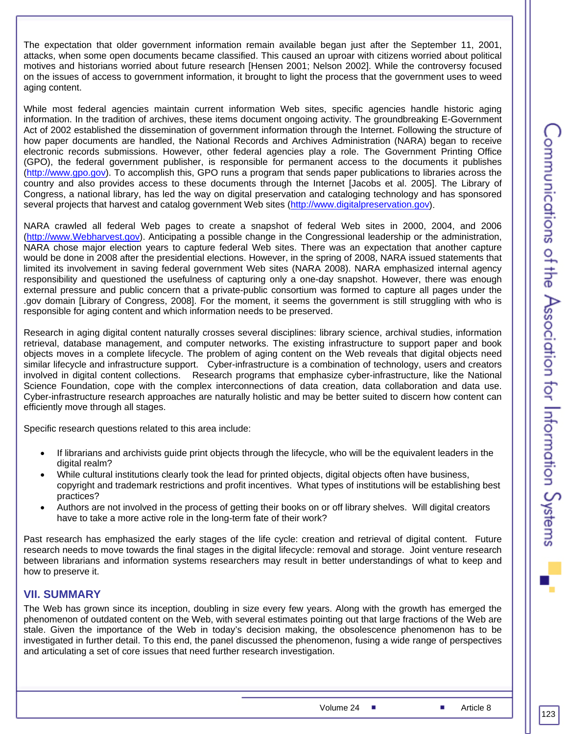The expectation that older government information remain available began just after the September 11, 2001, attacks, when some open documents became classified. This caused an uproar with citizens worried about political motives and historians worried about future research [Hensen 2001; Nelson 2002]. While the controversy focused on the issues of access to government information, it brought to light the process that the government uses to weed aging content.

While most federal agencies maintain current information Web sites, specific agencies handle historic aging information. In the tradition of archives, these items document ongoing activity. The groundbreaking E-Government Act of 2002 established the dissemination of government information through the Internet. Following the structure of how paper documents are handled, the National Records and Archives Administration (NARA) began to receive electronic records submissions. However, other federal agencies play a role. The Government Printing Office (GPO), the federal government publisher, is responsible for permanent access to the documents it publishes (http://www.gpo.gov). To accomplish this, GPO runs a program that sends paper publications to libraries across the country and also provides access to these documents through the Internet [Jacobs et al. 2005]. The Library of Congress, a national library, has led the way on digital preservation and cataloging technology and has sponsored several projects that harvest and catalog government Web sites (http://www.digitalpreservation.gov).

NARA crawled all federal Web pages to create a snapshot of federal Web sites in 2000, 2004, and 2006 (http://www.Webharvest.gov). Anticipating a possible change in the Congressional leadership or the administration, NARA chose major election years to capture federal Web sites. There was an expectation that another capture would be done in 2008 after the presidential elections. However, in the spring of 2008, NARA issued statements that limited its involvement in saving federal government Web sites (NARA 2008). NARA emphasized internal agency responsibility and questioned the usefulness of capturing only a one-day snapshot. However, there was enough external pressure and public concern that a private-public consortium was formed to capture all pages under the .gov domain [Library of Congress, 2008]. For the moment, it seems the government is still struggling with who is responsible for aging content and which information needs to be preserved.

Research in aging digital content naturally crosses several disciplines: library science, archival studies, information retrieval, database management, and computer networks. The existing infrastructure to support paper and book objects moves in a complete lifecycle. The problem of aging content on the Web reveals that digital objects need similar lifecycle and infrastructure support. Cyber-infrastructure is a combination of technology, users and creators involved in digital content collections. Research programs that emphasize cyber-infrastructure, like the National Science Foundation, cope with the complex interconnections of data creation, data collaboration and data use. Cyber-infrastructure research approaches are naturally holistic and may be better suited to discern how content can efficiently move through all stages.

Specific research questions related to this area include:

- If librarians and archivists guide print objects through the lifecycle, who will be the equivalent leaders in the digital realm?
- While cultural institutions clearly took the lead for printed objects, digital objects often have business, copyright and trademark restrictions and profit incentives. What types of institutions will be establishing best practices?
- Authors are not involved in the process of getting their books on or off library shelves. Will digital creators have to take a more active role in the long-term fate of their work?

Past research has emphasized the early stages of the life cycle: creation and retrieval of digital content. Future research needs to move towards the final stages in the digital lifecycle: removal and storage. Joint venture research between librarians and information systems researchers may result in better understandings of what to keep and how to preserve it.

#### **VII. SUMMARY**

The Web has grown since its inception, doubling in size every few years. Along with the growth has emerged the phenomenon of outdated content on the Web, with several estimates pointing out that large fractions of the Web are stale. Given the importance of the Web in today's decision making, the obsolescence phenomenon has to be investigated in further detail. To this end, the panel discussed the phenomenon, fusing a wide range of perspectives and articulating a set of core issues that need further research investigation.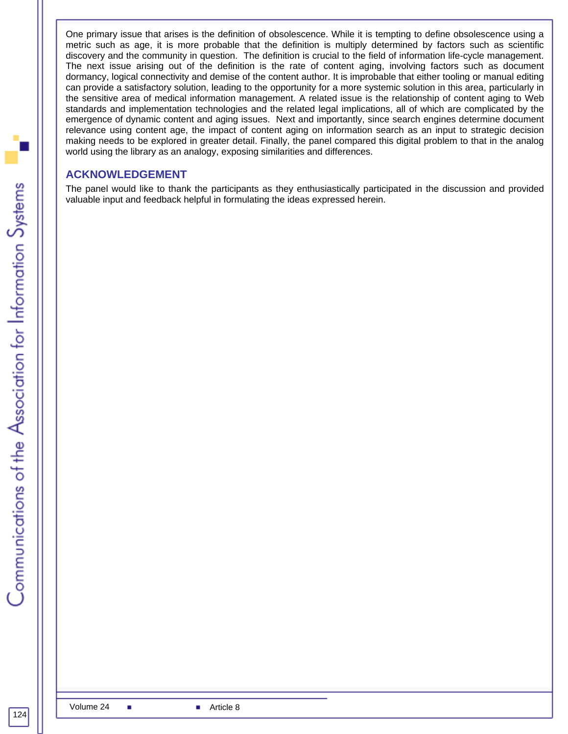One primary issue that arises is the definition of obsolescence. While it is tempting to define obsolescence using a metric such as age, it is more probable that the definition is multiply determined by factors such as scientific discovery and the community in question. The definition is crucial to the field of information life-cycle management. The next issue arising out of the definition is the rate of content aging, involving factors such as document dormancy, logical connectivity and demise of the content author. It is improbable that either tooling or manual editing can provide a satisfactory solution, leading to the opportunity for a more systemic solution in this area, particularly in the sensitive area of medical information management. A related issue is the relationship of content aging to Web standards and implementation technologies and the related legal implications, all of which are complicated by the emergence of dynamic content and aging issues. Next and importantly, since search engines determine document relevance using content age, the impact of content aging on information search as an input to strategic decision making needs to be explored in greater detail. Finally, the panel compared this digital problem to that in the analog world using the library as an analogy, exposing similarities and differences.

#### **ACKNOWLEDGEMENT**

The panel would like to thank the participants as they enthusiastically participated in the discussion and provided valuable input and feedback helpful in formulating the ideas expressed herein.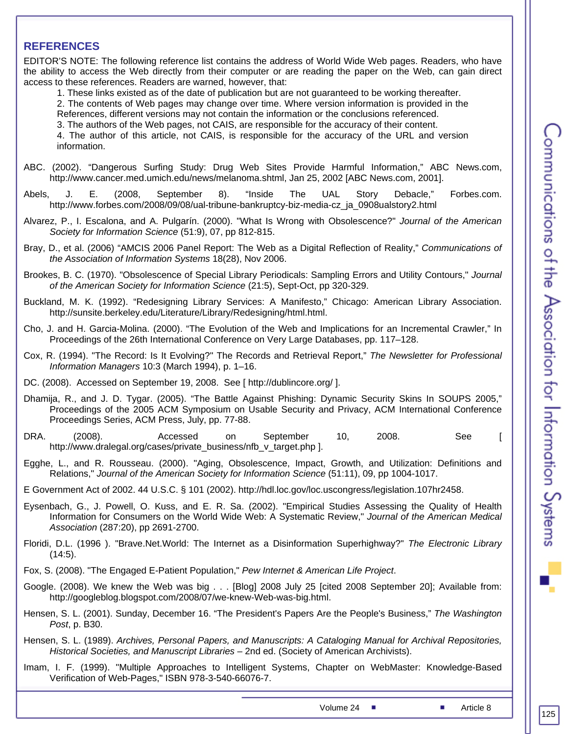#### **REFERENCES**

EDITOR'S NOTE: The following reference list contains the address of World Wide Web pages. Readers, who have the ability to access the Web directly from their computer or are reading the paper on the Web, can gain direct access to these references. Readers are warned, however, that:

1. These links existed as of the date of publication but are not guaranteed to be working thereafter.

2. The contents of Web pages may change over time. Where version information is provided in the References, different versions may not contain the information or the conclusions referenced.

3. The authors of the Web pages, not CAIS, are responsible for the accuracy of their content.

4. The author of this article, not CAIS, is responsible for the accuracy of the URL and version information.

- ABC. (2002). "Dangerous Surfing Study: Drug Web Sites Provide Harmful Information," ABC News.com, http://www.cancer.med.umich.edu/news/melanoma.shtml, Jan 25, 2002 [ABC News.com, 2001].
- Abels, J. E. (2008, September 8). "Inside The UAL Story Debacle," Forbes.com. http://www.forbes.com/2008/09/08/ual-tribune-bankruptcy-biz-media-cz\_ja\_0908ualstory2.html
- Alvarez, P., I. Escalona, and A. Pulgarín. (2000). "What Is Wrong with Obsolescence?" *Journal of the American Society for Information Science* (51:9), 07, pp 812-815.
- Bray, D., et al. (2006) "AMCIS 2006 Panel Report: The Web as a Digital Reflection of Reality," *Communications of the Association of Information Systems* 18(28), Nov 2006.
- Brookes, B. C. (1970). "Obsolescence of Special Library Periodicals: Sampling Errors and Utility Contours," *Journal of the American Society for Information Science* (21:5), Sept-Oct, pp 320-329.
- Buckland, M. K. (1992). "Redesigning Library Services: A Manifesto," Chicago: American Library Association. http://sunsite.berkeley.edu/Literature/Library/Redesigning/html.html.
- Cho, J. and H. Garcia-Molina. (2000). "The Evolution of the Web and Implications for an Incremental Crawler," In Proceedings of the 26th International Conference on Very Large Databases, pp. 117–128.
- Cox, R. (1994). "The Record: Is It Evolving?" The Records and Retrieval Report," *The Newsletter for Professional Information Managers* 10:3 (March 1994), p. 1–16.
- DC. (2008). Accessed on September 19, 2008. See [ http://dublincore.org/ ].
- Dhamija, R., and J. D. Tygar. (2005). "The Battle Against Phishing: Dynamic Security Skins In SOUPS 2005," Proceedings of the 2005 ACM Symposium on Usable Security and Privacy, ACM International Conference Proceedings Series, ACM Press, July, pp. 77-88.
- DRA. (2008). Accessed on September 10, 2008. See [ http://www.dralegal.org/cases/private\_business/nfb\_v\_target.php ].
- Egghe, L., and R. Rousseau. (2000). "Aging, Obsolescence, Impact, Growth, and Utilization: Definitions and Relations," *Journal of the American Society for Information Science* (51:11), 09, pp 1004-1017.
- E Government Act of 2002. 44 U.S.C. § 101 (2002). http://hdl.loc.gov/loc.uscongress/legislation.107hr2458.
- Eysenbach, G., J. Powell, O. Kuss, and E. R. Sa. (2002). "Empirical Studies Assessing the Quality of Health Information for Consumers on the World Wide Web: A Systematic Review," *Journal of the American Medical Association* (287:20), pp 2691-2700.
- Floridi, D.L. (1996 ). "Brave.Net.World: The Internet as a Disinformation Superhighway?" *The Electronic Library*  $(14:5)$ .
- Fox, S. (2008). "The Engaged E-Patient Population," *Pew Internet & American Life Project*.
- Google. (2008). We knew the Web was big . . . [Blog] 2008 July 25 [cited 2008 September 20]; Available from: http://googleblog.blogspot.com/2008/07/we-knew-Web-was-big.html.
- Hensen, S. L. (2001). Sunday, December 16. "The President's Papers Are the People's Business," *The Washington Post*, p. B30.

Hensen, S. L. (1989). *Archives, Personal Papers, and Manuscripts: A Cataloging Manual for Archival Repositories, Historical Societies, and Manuscript Libraries* – 2nd ed. (Society of American Archivists).

Imam, I. F. (1999). "Multiple Approaches to Intelligent Systems, Chapter on WebMaster: Knowledge-Based Verification of Web-Pages," ISBN 978-3-540-66076-7.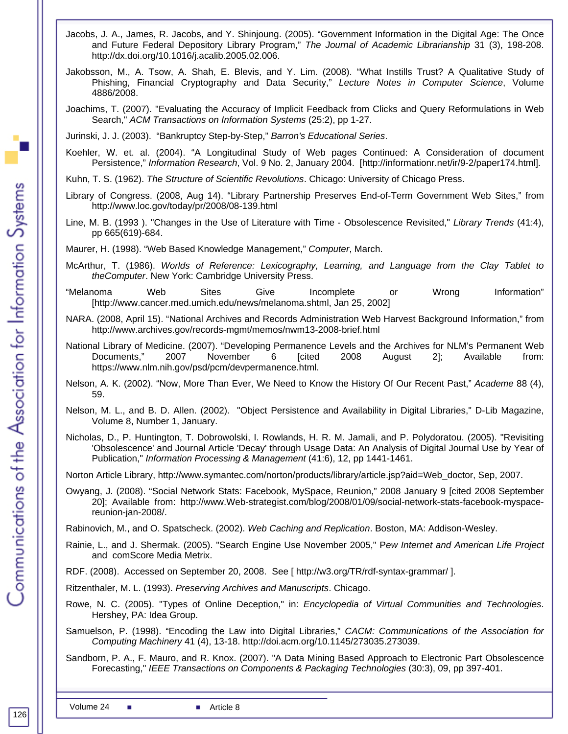- Jacobs, J. A., James, R. Jacobs, and Y. Shinjoung. (2005). "Government Information in the Digital Age: The Once and Future Federal Depository Library Program," *The Journal of Academic Librarianship* 31 (3), 198-208. http://dx.doi.org/10.1016/j.acalib.2005.02.006.
- Jakobsson, M., A. Tsow, A. Shah, E. Blevis, and Y. Lim. (2008). "What Instills Trust? A Qualitative Study of Phishing, Financial Cryptography and Data Security," *Lecture Notes in Computer Science*, Volume 4886/2008.
- Joachims, T. (2007). "Evaluating the Accuracy of Implicit Feedback from Clicks and Query Reformulations in Web Search," *ACM Transactions on Information Systems* (25:2), pp 1-27.

Jurinski, J. J. (2003). "Bankruptcy Step-by-Step," *Barron's Educational Series*.

Koehler, W. et. al. (2004). "A Longitudinal Study of Web pages Continued: A Consideration of document Persistence," *Information Research*, Vol. 9 No. 2, January 2004. [http://informationr.net/ir/9-2/paper174.html].

Kuhn, T. S. (1962). *The Structure of Scientific Revolutions*. Chicago: University of Chicago Press.

- Library of Congress. (2008, Aug 14). "Library Partnership Preserves End-of-Term Government Web Sites," from http://www.loc.gov/today/pr/2008/08-139.html
- Line, M. B. (1993 ). "Changes in the Use of Literature with Time Obsolescence Revisited," *Library Trends* (41:4), pp 665(619)-684.

Maurer, H. (1998). "Web Based Knowledge Management," *Computer*, March.

- McArthur, T. (1986). *Worlds of Reference: Lexicography, Learning, and Language from the Clay Tablet to theComputer*. New York: Cambridge University Press.
- "Melanoma Web Sites Give Incomplete or Wrong Information" [http://www.cancer.med.umich.edu/news/melanoma.shtml, Jan 25, 2002]
- NARA. (2008, April 15). "National Archives and Records Administration Web Harvest Background Information," from http://www.archives.gov/records-mgmt/memos/nwm13-2008-brief.html
- National Library of Medicine. (2007). "Developing Permanence Levels and the Archives for NLM's Permanent Web Documents," 2007 November 6 [cited 2008 August 2]; Available from: https://www.nlm.nih.gov/psd/pcm/devpermanence.html.
- Nelson, A. K. (2002). "Now, More Than Ever, We Need to Know the History Of Our Recent Past," *Academe* 88 (4), 59.
- Nelson, M. L., and B. D. Allen. (2002). "Object Persistence and Availability in Digital Libraries," D-Lib Magazine, Volume 8, Number 1, January.
- Nicholas, D., P. Huntington, T. Dobrowolski, I. Rowlands, H. R. M. Jamali, and P. Polydoratou. (2005). "Revisiting 'Obsolescence' and Journal Article 'Decay' through Usage Data: An Analysis of Digital Journal Use by Year of Publication," *Information Processing & Management* (41:6), 12, pp 1441-1461.

Norton Article Library, http://www.symantec.com/norton/products/library/article.jsp?aid=Web\_doctor, Sep, 2007.

Owyang, J. (2008). "Social Network Stats: Facebook, MySpace, Reunion," 2008 January 9 [cited 2008 September 20]; Available from: http://www.Web-strategist.com/blog/2008/01/09/social-network-stats-facebook-myspacereunion-jan-2008/.

Rabinovich, M., and O. Spatscheck. (2002). *Web Caching and Replication*. Boston, MA: Addison-Wesley.

Rainie, L., and J. Shermak. (2005). "Search Engine Use November 2005," P*ew Internet and American Life Project* and comScore Media Metrix.

RDF. (2008). Accessed on September 20, 2008. See [ http://w3.org/TR/rdf-syntax-grammar/ ].

Ritzenthaler, M. L. (1993). *Preserving Archives and Manuscripts*. Chicago.

- Rowe, N. C. (2005). "Types of Online Deception," in: *Encyclopedia of Virtual Communities and Technologies*. Hershey, PA: Idea Group.
- Samuelson, P. (1998). "Encoding the Law into Digital Libraries," *CACM: Communications of the Association for Computing Machinery* 41 (4), 13-18. http://doi.acm.org/10.1145/273035.273039.

Sandborn, P. A., F. Mauro, and R. Knox. (2007). "A Data Mining Based Approach to Electronic Part Obsolescence Forecasting," *IEEE Transactions on Components & Packaging Technologies* (30:3), 09, pp 397-401.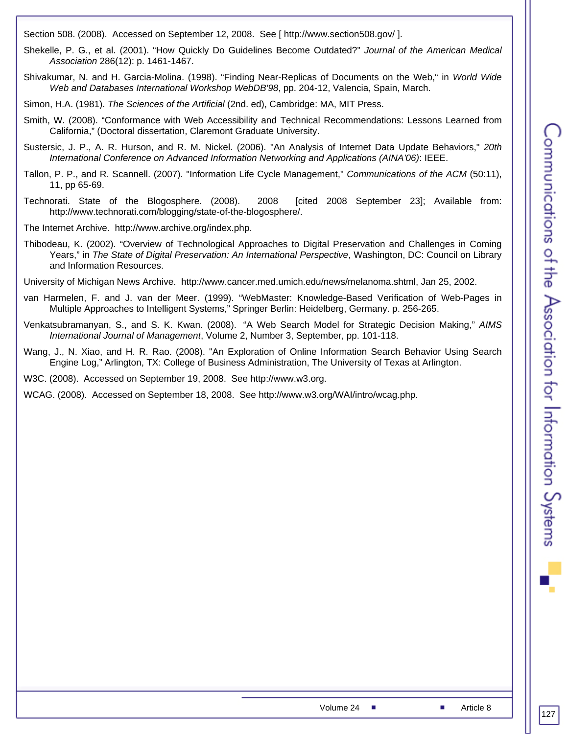Section 508. (2008). Accessed on September 12, 2008. See [ http://www.section508.gov/ ].

- Shekelle, P. G., et al. (2001). "How Quickly Do Guidelines Become Outdated?" *Journal of the American Medical Association* 286(12): p. 1461-1467.
- Shivakumar, N. and H. Garcia-Molina. (1998). "Finding Near-Replicas of Documents on the Web," in *World Wide Web and Databases International Workshop WebDB'98*, pp. 204-12, Valencia, Spain, March.
- Simon, H.A. (1981). *The Sciences of the Artificial* (2nd. ed), Cambridge: MA, MIT Press.
- Smith, W. (2008). "Conformance with Web Accessibility and Technical Recommendations: Lessons Learned from California," (Doctoral dissertation, Claremont Graduate University.
- Sustersic, J. P., A. R. Hurson, and R. M. Nickel. (2006). "An Analysis of Internet Data Update Behaviors," *20th International Conference on Advanced Information Networking and Applications (AINA'06)*: IEEE.
- Tallon, P. P., and R. Scannell. (2007). "Information Life Cycle Management," *Communications of the ACM* (50:11), 11, pp 65-69.
- Technorati. State of the Blogosphere. (2008). 2008 [cited 2008 September 23]; Available from: http://www.technorati.com/blogging/state-of-the-blogosphere/.
- The Internet Archive. http://www.archive.org/index.php.
- Thibodeau, K. (2002). "Overview of Technological Approaches to Digital Preservation and Challenges in Coming Years," in *The State of Digital Preservation: An International Perspective*, Washington, DC: Council on Library and Information Resources.
- University of Michigan News Archive. http://www.cancer.med.umich.edu/news/melanoma.shtml, Jan 25, 2002.
- van Harmelen, F. and J. van der Meer. (1999). "WebMaster: Knowledge-Based Verification of Web-Pages in Multiple Approaches to Intelligent Systems," Springer Berlin: Heidelberg, Germany. p. 256-265.
- Venkatsubramanyan, S., and S. K. Kwan. (2008). "A Web Search Model for Strategic Decision Making," *AIMS International Journal of Management*, Volume 2, Number 3, September, pp. 101-118.
- Wang, J., N. Xiao, and H. R. Rao. (2008). "An Exploration of Online Information Search Behavior Using Search Engine Log," Arlington, TX: College of Business Administration, The University of Texas at Arlington.

W3C. (2008). Accessed on September 19, 2008. See http://www.w3.org.

WCAG. (2008). Accessed on September 18, 2008. See http://www.w3.org/WAI/intro/wcag.php.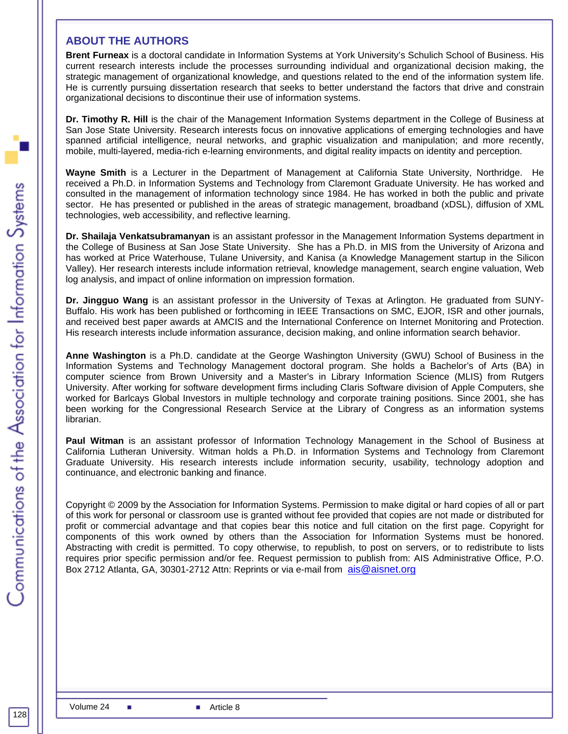#### **ABOUT THE AUTHORS**

**Brent Furneax** is a doctoral candidate in Information Systems at York University's Schulich School of Business. His current research interests include the processes surrounding individual and organizational decision making, the strategic management of organizational knowledge, and questions related to the end of the information system life. He is currently pursuing dissertation research that seeks to better understand the factors that drive and constrain organizational decisions to discontinue their use of information systems.

**Dr. Timothy R. Hill** is the chair of the Management Information Systems department in the College of Business at San Jose State University. Research interests focus on innovative applications of emerging technologies and have spanned artificial intelligence, neural networks, and graphic visualization and manipulation; and more recently, mobile, multi-layered, media-rich e-learning environments, and digital reality impacts on identity and perception.

**Wayne Smith** is a Lecturer in the Department of Management at California State University, Northridge. He received a Ph.D. in Information Systems and Technology from Claremont Graduate University. He has worked and consulted in the management of information technology since 1984. He has worked in both the public and private sector. He has presented or published in the areas of strategic management, broadband (xDSL), diffusion of XML technologies, web accessibility, and reflective learning.

**Dr. Shailaja Venkatsubramanyan** is an assistant professor in the Management Information Systems department in the College of Business at San Jose State University. She has a Ph.D. in MIS from the University of Arizona and has worked at Price Waterhouse, Tulane University, and Kanisa (a Knowledge Management startup in the Silicon Valley). Her research interests include information retrieval, knowledge management, search engine valuation, Web log analysis, and impact of online information on impression formation.

**Dr. Jingguo Wang** is an assistant professor in the University of Texas at Arlington. He graduated from SUNY-Buffalo. His work has been published or forthcoming in IEEE Transactions on SMC, EJOR, ISR and other journals, and received best paper awards at AMCIS and the International Conference on Internet Monitoring and Protection. His research interests include information assurance, decision making, and online information search behavior.

**Anne Washington** is a Ph.D. candidate at the George Washington University (GWU) School of Business in the Information Systems and Technology Management doctoral program. She holds a Bachelor's of Arts (BA) in computer science from Brown University and a Master's in Library Information Science (MLIS) from Rutgers University. After working for software development firms including Claris Software division of Apple Computers, she worked for Barlcays Global Investors in multiple technology and corporate training positions. Since 2001, she has been working for the Congressional Research Service at the Library of Congress as an information systems librarian.

**Paul Witman** is an assistant professor of Information Technology Management in the School of Business at California Lutheran University. Witman holds a Ph.D. in Information Systems and Technology from Claremont Graduate University. His research interests include information security, usability, technology adoption and continuance, and electronic banking and finance.

Copyright © 2009 by the Association for Information Systems. Permission to make digital or hard copies of all or part of this work for personal or classroom use is granted without fee provided that copies are not made or distributed for profit or commercial advantage and that copies bear this notice and full citation on the first page. Copyright for components of this work owned by others than the Association for Information Systems must be honored. Abstracting with credit is permitted. To copy otherwise, to republish, to post on servers, or to redistribute to lists requires prior specific permission and/or fee. Request permission to publish from: AIS Administrative Office, P.O. Box 2712 Atlanta, GA, 30301-2712 Attn: Reprints or via e-mail from ais@aisnet.org

128